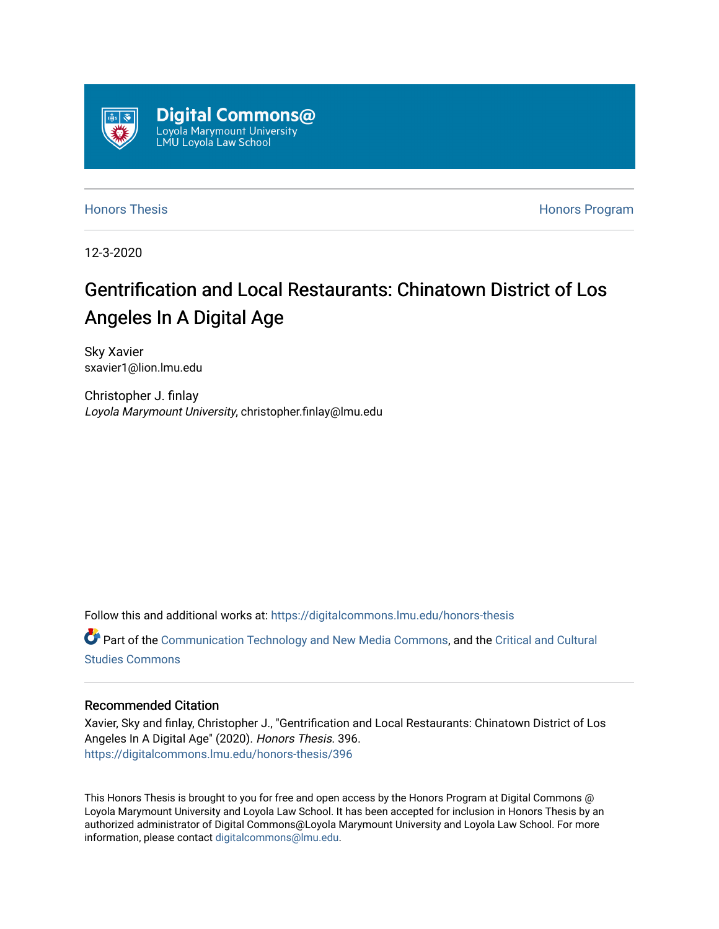

[Honors Thesis](https://digitalcommons.lmu.edu/honors-thesis) [Honors Program](https://digitalcommons.lmu.edu/lmu_honorsprogram) 

12-3-2020

# Gentrification and Local Restaurants: Chinatown District of Los Angeles In A Digital Age

Sky Xavier sxavier1@lion.lmu.edu

Christopher J. finlay Loyola Marymount University, christopher.finlay@lmu.edu

Follow this and additional works at: [https://digitalcommons.lmu.edu/honors-thesis](https://digitalcommons.lmu.edu/honors-thesis?utm_source=digitalcommons.lmu.edu%2Fhonors-thesis%2F396&utm_medium=PDF&utm_campaign=PDFCoverPages)

Part of the [Communication Technology and New Media Commons,](http://network.bepress.com/hgg/discipline/327?utm_source=digitalcommons.lmu.edu%2Fhonors-thesis%2F396&utm_medium=PDF&utm_campaign=PDFCoverPages) and the [Critical and Cultural](http://network.bepress.com/hgg/discipline/328?utm_source=digitalcommons.lmu.edu%2Fhonors-thesis%2F396&utm_medium=PDF&utm_campaign=PDFCoverPages)  [Studies Commons](http://network.bepress.com/hgg/discipline/328?utm_source=digitalcommons.lmu.edu%2Fhonors-thesis%2F396&utm_medium=PDF&utm_campaign=PDFCoverPages) 

# Recommended Citation

Xavier, Sky and finlay, Christopher J., "Gentrification and Local Restaurants: Chinatown District of Los Angeles In A Digital Age" (2020). Honors Thesis. 396. [https://digitalcommons.lmu.edu/honors-thesis/396](https://digitalcommons.lmu.edu/honors-thesis/396?utm_source=digitalcommons.lmu.edu%2Fhonors-thesis%2F396&utm_medium=PDF&utm_campaign=PDFCoverPages) 

This Honors Thesis is brought to you for free and open access by the Honors Program at Digital Commons @ Loyola Marymount University and Loyola Law School. It has been accepted for inclusion in Honors Thesis by an authorized administrator of Digital Commons@Loyola Marymount University and Loyola Law School. For more information, please contact [digitalcommons@lmu.edu.](mailto:digitalcommons@lmu.edu)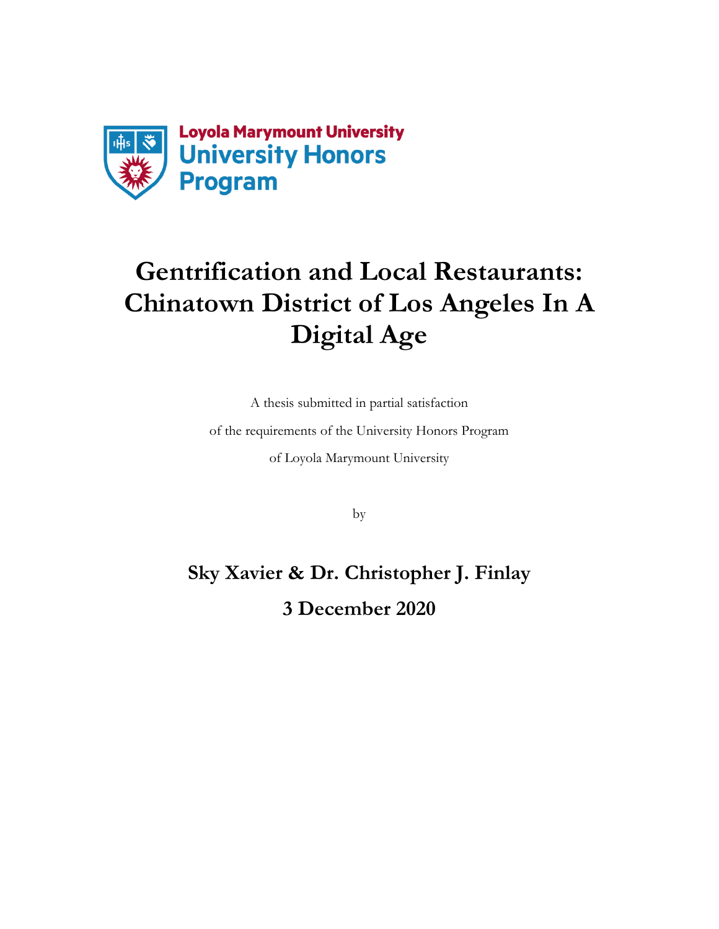

# **Gentrification and Local Restaurants: Chinatown District of Los Angeles In A Digital Age**

A thesis submitted in partial satisfaction

of the requirements of the University Honors Program

of Loyola Marymount University

by

**Sky Xavier & Dr. Christopher J. Finlay 3 December 2020**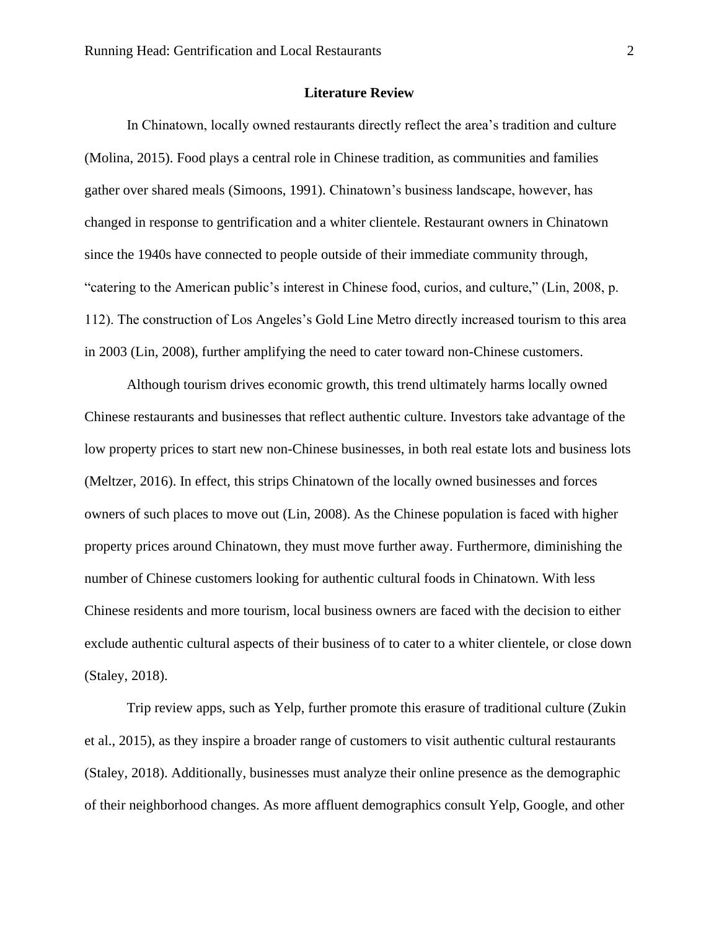#### **Literature Review**

In Chinatown, locally owned restaurants directly reflect the area's tradition and culture (Molina, 2015). Food plays a central role in Chinese tradition, as communities and families gather over shared meals (Simoons, 1991). Chinatown's business landscape, however, has changed in response to gentrification and a whiter clientele. Restaurant owners in Chinatown since the 1940s have connected to people outside of their immediate community through, "catering to the American public's interest in Chinese food, curios, and culture," (Lin, 2008, p. 112). The construction of Los Angeles's Gold Line Metro directly increased tourism to this area in 2003 (Lin, 2008), further amplifying the need to cater toward non-Chinese customers.

Although tourism drives economic growth, this trend ultimately harms locally owned Chinese restaurants and businesses that reflect authentic culture. Investors take advantage of the low property prices to start new non-Chinese businesses, in both real estate lots and business lots (Meltzer, 2016). In effect, this strips Chinatown of the locally owned businesses and forces owners of such places to move out (Lin, 2008). As the Chinese population is faced with higher property prices around Chinatown, they must move further away. Furthermore, diminishing the number of Chinese customers looking for authentic cultural foods in Chinatown. With less Chinese residents and more tourism, local business owners are faced with the decision to either exclude authentic cultural aspects of their business of to cater to a whiter clientele, or close down (Staley, 2018).

Trip review apps, such as Yelp, further promote this erasure of traditional culture (Zukin et al., 2015), as they inspire a broader range of customers to visit authentic cultural restaurants (Staley, 2018). Additionally, businesses must analyze their online presence as the demographic of their neighborhood changes. As more affluent demographics consult Yelp, Google, and other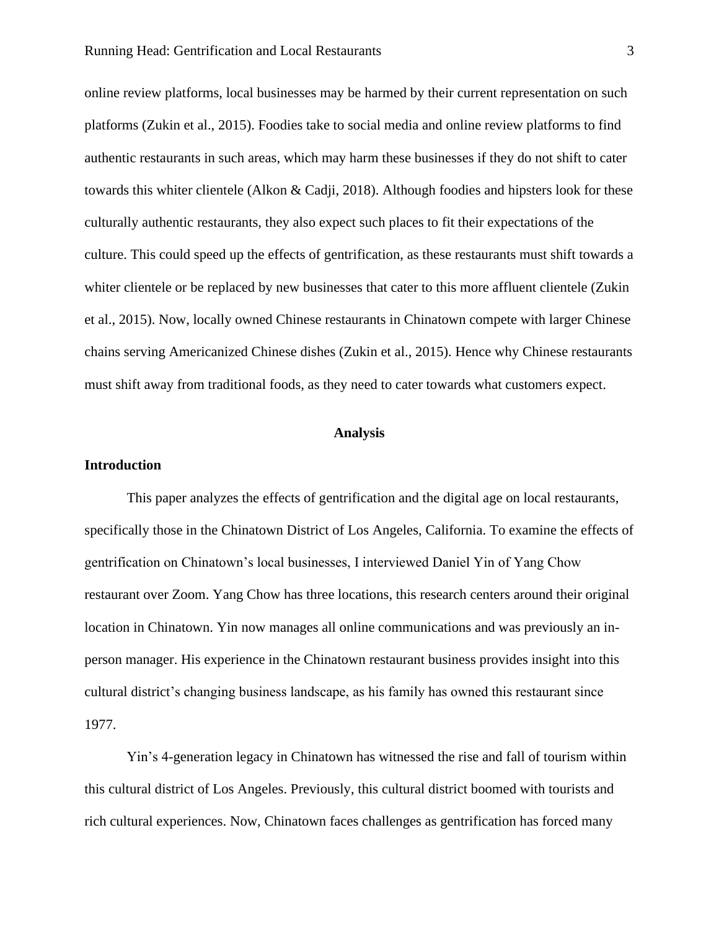online review platforms, local businesses may be harmed by their current representation on such platforms (Zukin et al., 2015). Foodies take to social media and online review platforms to find authentic restaurants in such areas, which may harm these businesses if they do not shift to cater towards this whiter clientele (Alkon & Cadji, 2018). Although foodies and hipsters look for these culturally authentic restaurants, they also expect such places to fit their expectations of the culture. This could speed up the effects of gentrification, as these restaurants must shift towards a whiter clientele or be replaced by new businesses that cater to this more affluent clientele (Zukin et al., 2015). Now, locally owned Chinese restaurants in Chinatown compete with larger Chinese chains serving Americanized Chinese dishes (Zukin et al., 2015). Hence why Chinese restaurants must shift away from traditional foods, as they need to cater towards what customers expect.

# **Analysis**

# **Introduction**

This paper analyzes the effects of gentrification and the digital age on local restaurants, specifically those in the Chinatown District of Los Angeles, California. To examine the effects of gentrification on Chinatown's local businesses, I interviewed Daniel Yin of Yang Chow restaurant over Zoom. Yang Chow has three locations, this research centers around their original location in Chinatown. Yin now manages all online communications and was previously an inperson manager. His experience in the Chinatown restaurant business provides insight into this cultural district's changing business landscape, as his family has owned this restaurant since 1977.

Yin's 4-generation legacy in Chinatown has witnessed the rise and fall of tourism within this cultural district of Los Angeles. Previously, this cultural district boomed with tourists and rich cultural experiences. Now, Chinatown faces challenges as gentrification has forced many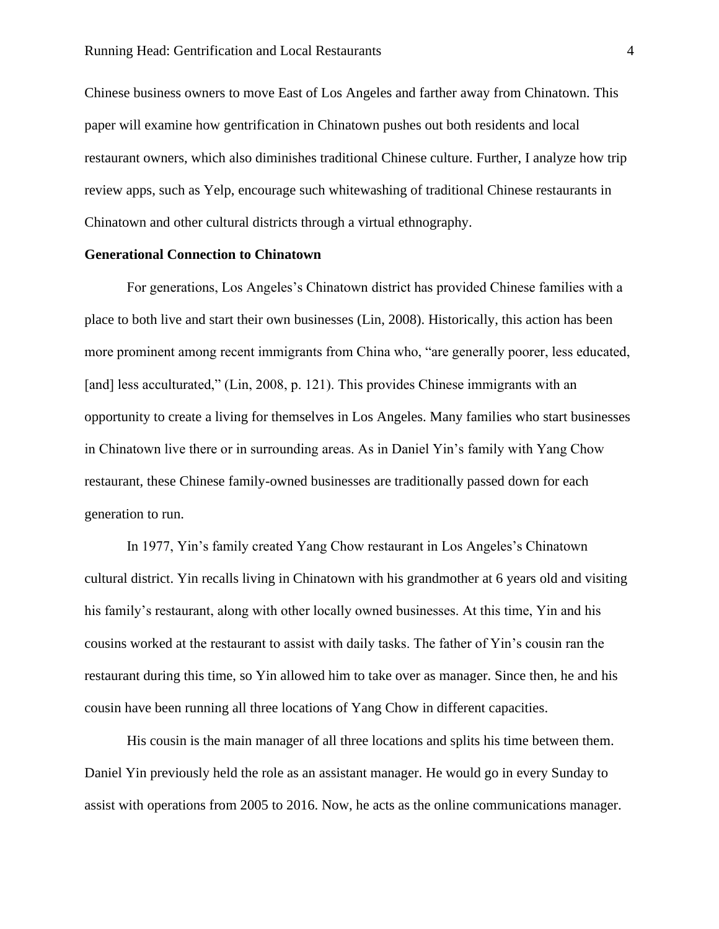Chinese business owners to move East of Los Angeles and farther away from Chinatown. This paper will examine how gentrification in Chinatown pushes out both residents and local restaurant owners, which also diminishes traditional Chinese culture. Further, I analyze how trip review apps, such as Yelp, encourage such whitewashing of traditional Chinese restaurants in Chinatown and other cultural districts through a virtual ethnography.

#### **Generational Connection to Chinatown**

For generations, Los Angeles's Chinatown district has provided Chinese families with a place to both live and start their own businesses (Lin, 2008). Historically, this action has been more prominent among recent immigrants from China who, "are generally poorer, less educated, [and] less acculturated," (Lin, 2008, p. 121). This provides Chinese immigrants with an opportunity to create a living for themselves in Los Angeles. Many families who start businesses in Chinatown live there or in surrounding areas. As in Daniel Yin's family with Yang Chow restaurant, these Chinese family-owned businesses are traditionally passed down for each generation to run.

In 1977, Yin's family created Yang Chow restaurant in Los Angeles's Chinatown cultural district. Yin recalls living in Chinatown with his grandmother at 6 years old and visiting his family's restaurant, along with other locally owned businesses. At this time, Yin and his cousins worked at the restaurant to assist with daily tasks. The father of Yin's cousin ran the restaurant during this time, so Yin allowed him to take over as manager. Since then, he and his cousin have been running all three locations of Yang Chow in different capacities.

His cousin is the main manager of all three locations and splits his time between them. Daniel Yin previously held the role as an assistant manager. He would go in every Sunday to assist with operations from 2005 to 2016. Now, he acts as the online communications manager.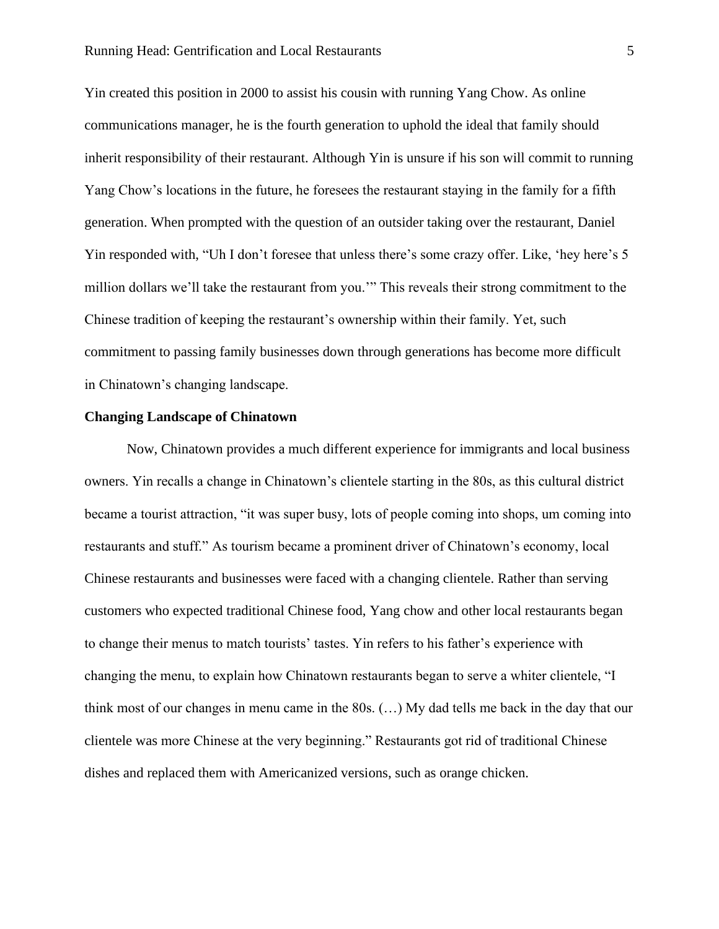Yin created this position in 2000 to assist his cousin with running Yang Chow. As online communications manager, he is the fourth generation to uphold the ideal that family should inherit responsibility of their restaurant. Although Yin is unsure if his son will commit to running Yang Chow's locations in the future, he foresees the restaurant staying in the family for a fifth generation. When prompted with the question of an outsider taking over the restaurant, Daniel Yin responded with, "Uh I don't foresee that unless there's some crazy offer. Like, 'hey here's 5 million dollars we'll take the restaurant from you.'" This reveals their strong commitment to the Chinese tradition of keeping the restaurant's ownership within their family. Yet, such commitment to passing family businesses down through generations has become more difficult in Chinatown's changing landscape.

#### **Changing Landscape of Chinatown**

Now, Chinatown provides a much different experience for immigrants and local business owners. Yin recalls a change in Chinatown's clientele starting in the 80s, as this cultural district became a tourist attraction, "it was super busy, lots of people coming into shops, um coming into restaurants and stuff." As tourism became a prominent driver of Chinatown's economy, local Chinese restaurants and businesses were faced with a changing clientele. Rather than serving customers who expected traditional Chinese food, Yang chow and other local restaurants began to change their menus to match tourists' tastes. Yin refers to his father's experience with changing the menu, to explain how Chinatown restaurants began to serve a whiter clientele, "I think most of our changes in menu came in the 80s. (…) My dad tells me back in the day that our clientele was more Chinese at the very beginning." Restaurants got rid of traditional Chinese dishes and replaced them with Americanized versions, such as orange chicken.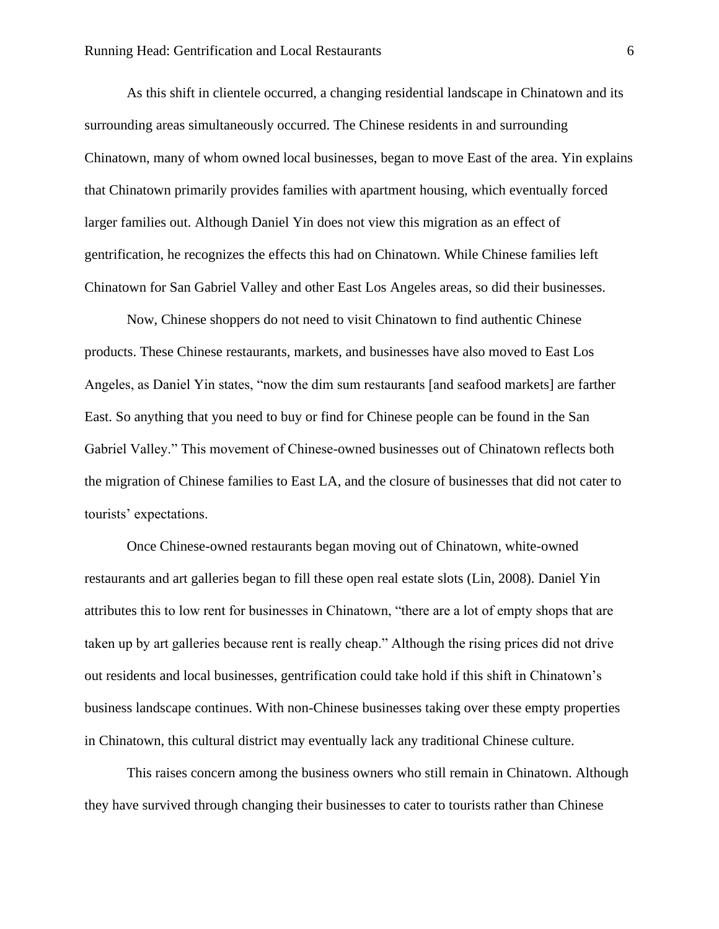As this shift in clientele occurred, a changing residential landscape in Chinatown and its surrounding areas simultaneously occurred. The Chinese residents in and surrounding Chinatown, many of whom owned local businesses, began to move East of the area. Yin explains that Chinatown primarily provides families with apartment housing, which eventually forced larger families out. Although Daniel Yin does not view this migration as an effect of gentrification, he recognizes the effects this had on Chinatown. While Chinese families left Chinatown for San Gabriel Valley and other East Los Angeles areas, so did their businesses.

Now, Chinese shoppers do not need to visit Chinatown to find authentic Chinese products. These Chinese restaurants, markets, and businesses have also moved to East Los Angeles, as Daniel Yin states, "now the dim sum restaurants [and seafood markets] are farther East. So anything that you need to buy or find for Chinese people can be found in the San Gabriel Valley." This movement of Chinese-owned businesses out of Chinatown reflects both the migration of Chinese families to East LA, and the closure of businesses that did not cater to tourists' expectations.

Once Chinese-owned restaurants began moving out of Chinatown, white-owned restaurants and art galleries began to fill these open real estate slots (Lin, 2008). Daniel Yin attributes this to low rent for businesses in Chinatown, "there are a lot of empty shops that are taken up by art galleries because rent is really cheap." Although the rising prices did not drive out residents and local businesses, gentrification could take hold if this shift in Chinatown's business landscape continues. With non-Chinese businesses taking over these empty properties in Chinatown, this cultural district may eventually lack any traditional Chinese culture.

This raises concern among the business owners who still remain in Chinatown. Although they have survived through changing their businesses to cater to tourists rather than Chinese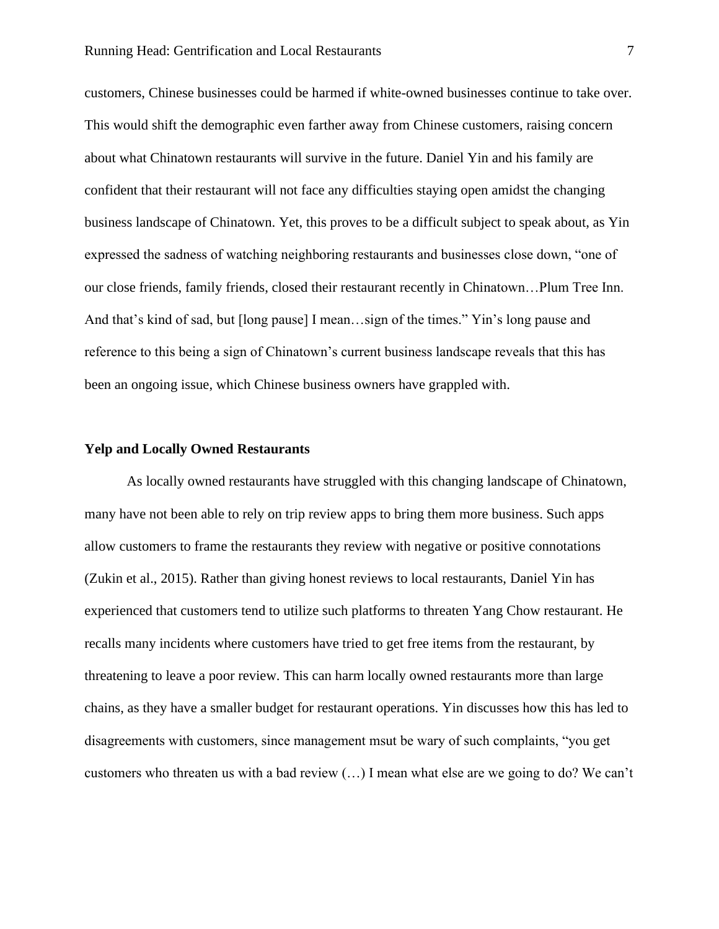customers, Chinese businesses could be harmed if white-owned businesses continue to take over. This would shift the demographic even farther away from Chinese customers, raising concern about what Chinatown restaurants will survive in the future. Daniel Yin and his family are confident that their restaurant will not face any difficulties staying open amidst the changing business landscape of Chinatown. Yet, this proves to be a difficult subject to speak about, as Yin expressed the sadness of watching neighboring restaurants and businesses close down, "one of our close friends, family friends, closed their restaurant recently in Chinatown…Plum Tree Inn. And that's kind of sad, but [long pause] I mean…sign of the times." Yin's long pause and reference to this being a sign of Chinatown's current business landscape reveals that this has been an ongoing issue, which Chinese business owners have grappled with.

#### **Yelp and Locally Owned Restaurants**

As locally owned restaurants have struggled with this changing landscape of Chinatown, many have not been able to rely on trip review apps to bring them more business. Such apps allow customers to frame the restaurants they review with negative or positive connotations (Zukin et al., 2015). Rather than giving honest reviews to local restaurants, Daniel Yin has experienced that customers tend to utilize such platforms to threaten Yang Chow restaurant. He recalls many incidents where customers have tried to get free items from the restaurant, by threatening to leave a poor review. This can harm locally owned restaurants more than large chains, as they have a smaller budget for restaurant operations. Yin discusses how this has led to disagreements with customers, since management msut be wary of such complaints, "you get customers who threaten us with a bad review (…) I mean what else are we going to do? We can't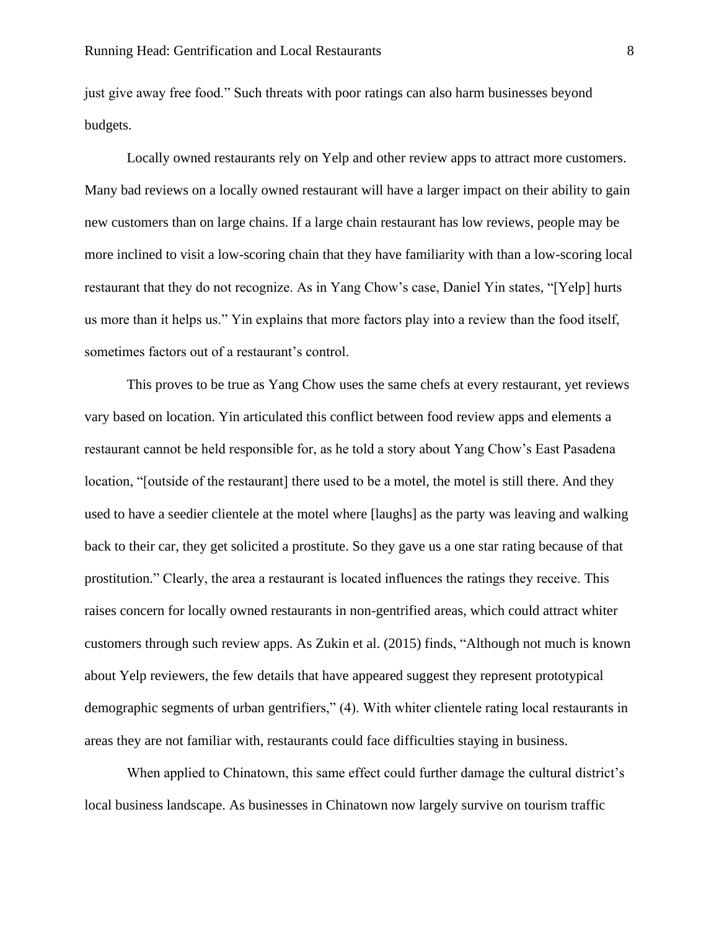just give away free food." Such threats with poor ratings can also harm businesses beyond budgets.

Locally owned restaurants rely on Yelp and other review apps to attract more customers. Many bad reviews on a locally owned restaurant will have a larger impact on their ability to gain new customers than on large chains. If a large chain restaurant has low reviews, people may be more inclined to visit a low-scoring chain that they have familiarity with than a low-scoring local restaurant that they do not recognize. As in Yang Chow's case, Daniel Yin states, "[Yelp] hurts us more than it helps us." Yin explains that more factors play into a review than the food itself, sometimes factors out of a restaurant's control.

This proves to be true as Yang Chow uses the same chefs at every restaurant, yet reviews vary based on location. Yin articulated this conflict between food review apps and elements a restaurant cannot be held responsible for, as he told a story about Yang Chow's East Pasadena location, "[outside of the restaurant] there used to be a motel, the motel is still there. And they used to have a seedier clientele at the motel where [laughs] as the party was leaving and walking back to their car, they get solicited a prostitute. So they gave us a one star rating because of that prostitution." Clearly, the area a restaurant is located influences the ratings they receive. This raises concern for locally owned restaurants in non-gentrified areas, which could attract whiter customers through such review apps. As Zukin et al. (2015) finds, "Although not much is known about Yelp reviewers, the few details that have appeared suggest they represent prototypical demographic segments of urban gentrifiers," (4). With whiter clientele rating local restaurants in areas they are not familiar with, restaurants could face difficulties staying in business.

When applied to Chinatown, this same effect could further damage the cultural district's local business landscape. As businesses in Chinatown now largely survive on tourism traffic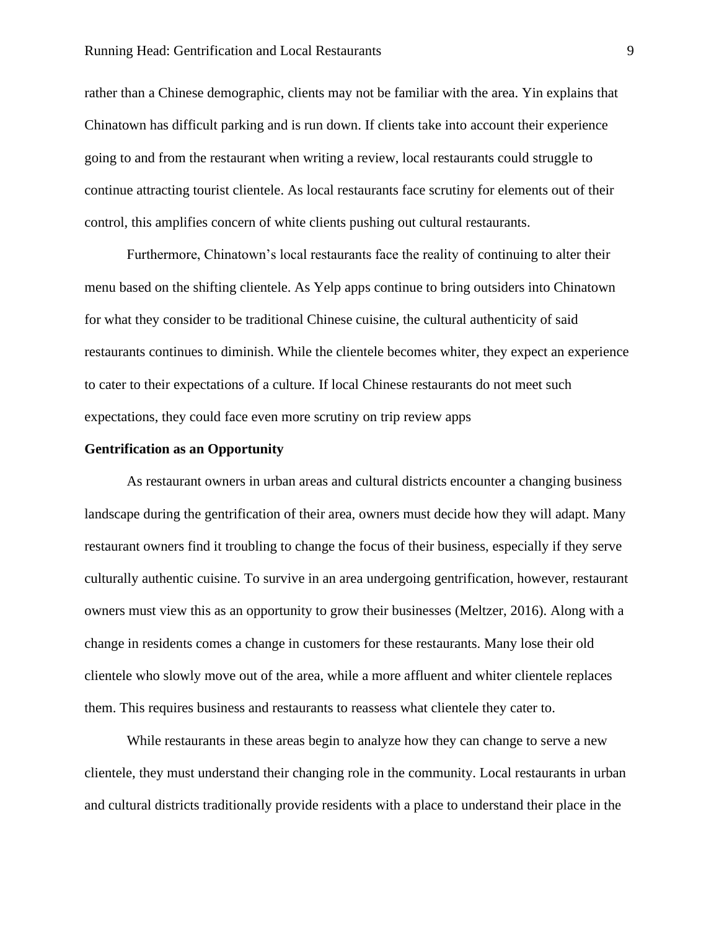#### Running Head: Gentrification and Local Restaurants 9

rather than a Chinese demographic, clients may not be familiar with the area. Yin explains that Chinatown has difficult parking and is run down. If clients take into account their experience going to and from the restaurant when writing a review, local restaurants could struggle to continue attracting tourist clientele. As local restaurants face scrutiny for elements out of their control, this amplifies concern of white clients pushing out cultural restaurants.

Furthermore, Chinatown's local restaurants face the reality of continuing to alter their menu based on the shifting clientele. As Yelp apps continue to bring outsiders into Chinatown for what they consider to be traditional Chinese cuisine, the cultural authenticity of said restaurants continues to diminish. While the clientele becomes whiter, they expect an experience to cater to their expectations of a culture. If local Chinese restaurants do not meet such expectations, they could face even more scrutiny on trip review apps

# **Gentrification as an Opportunity**

As restaurant owners in urban areas and cultural districts encounter a changing business landscape during the gentrification of their area, owners must decide how they will adapt. Many restaurant owners find it troubling to change the focus of their business, especially if they serve culturally authentic cuisine. To survive in an area undergoing gentrification, however, restaurant owners must view this as an opportunity to grow their businesses (Meltzer, 2016). Along with a change in residents comes a change in customers for these restaurants. Many lose their old clientele who slowly move out of the area, while a more affluent and whiter clientele replaces them. This requires business and restaurants to reassess what clientele they cater to.

While restaurants in these areas begin to analyze how they can change to serve a new clientele, they must understand their changing role in the community. Local restaurants in urban and cultural districts traditionally provide residents with a place to understand their place in the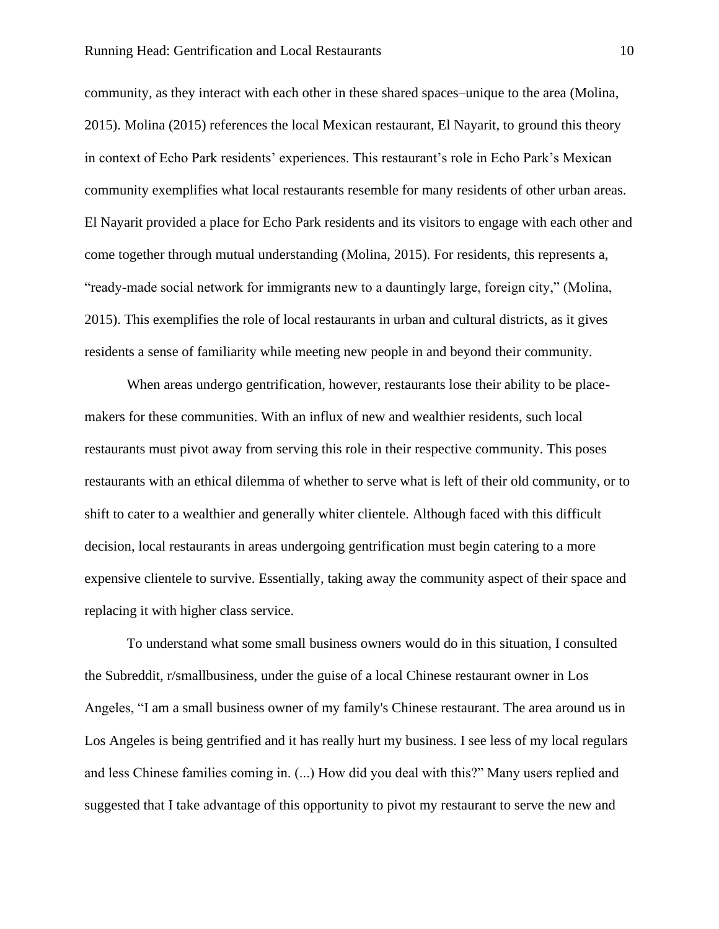community, as they interact with each other in these shared spaces–unique to the area (Molina, 2015). Molina (2015) references the local Mexican restaurant, El Nayarit, to ground this theory in context of Echo Park residents' experiences. This restaurant's role in Echo Park's Mexican community exemplifies what local restaurants resemble for many residents of other urban areas. El Nayarit provided a place for Echo Park residents and its visitors to engage with each other and come together through mutual understanding (Molina, 2015). For residents, this represents a, "ready-made social network for immigrants new to a dauntingly large, foreign city," (Molina, 2015). This exemplifies the role of local restaurants in urban and cultural districts, as it gives residents a sense of familiarity while meeting new people in and beyond their community.

When areas undergo gentrification, however, restaurants lose their ability to be placemakers for these communities. With an influx of new and wealthier residents, such local restaurants must pivot away from serving this role in their respective community. This poses restaurants with an ethical dilemma of whether to serve what is left of their old community, or to shift to cater to a wealthier and generally whiter clientele. Although faced with this difficult decision, local restaurants in areas undergoing gentrification must begin catering to a more expensive clientele to survive. Essentially, taking away the community aspect of their space and replacing it with higher class service.

To understand what some small business owners would do in this situation, I consulted the Subreddit, r/smallbusiness, under the guise of a local Chinese restaurant owner in Los Angeles, "I am a small business owner of my family's Chinese restaurant. The area around us in Los Angeles is being gentrified and it has really hurt my business. I see less of my local regulars and less Chinese families coming in. (...) How did you deal with this?" Many users replied and suggested that I take advantage of this opportunity to pivot my restaurant to serve the new and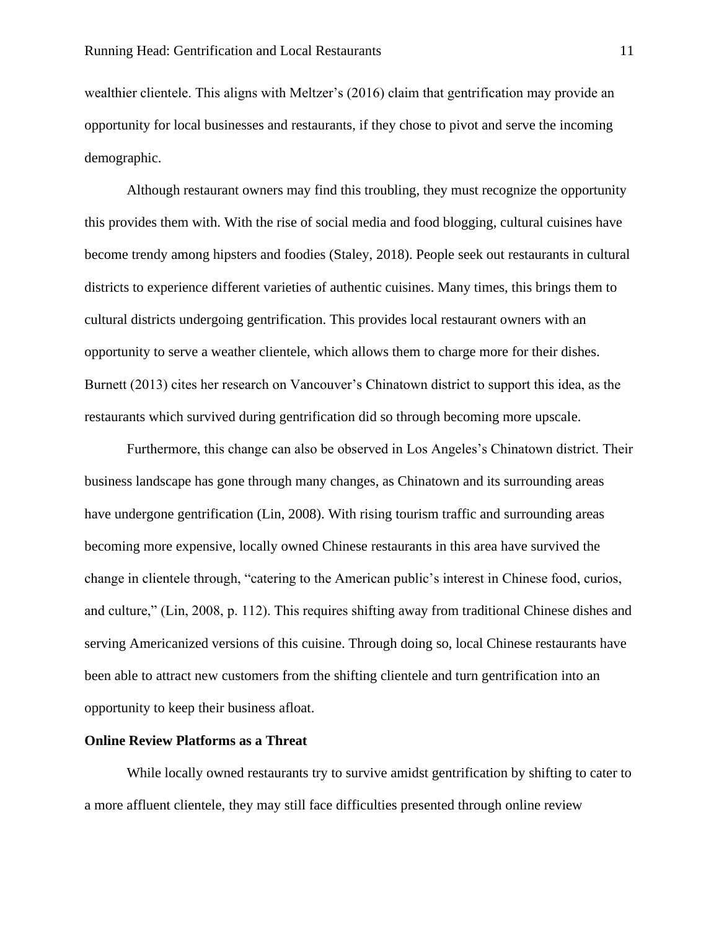wealthier clientele. This aligns with Meltzer's (2016) claim that gentrification may provide an opportunity for local businesses and restaurants, if they chose to pivot and serve the incoming demographic.

Although restaurant owners may find this troubling, they must recognize the opportunity this provides them with. With the rise of social media and food blogging, cultural cuisines have become trendy among hipsters and foodies (Staley, 2018). People seek out restaurants in cultural districts to experience different varieties of authentic cuisines. Many times, this brings them to cultural districts undergoing gentrification. This provides local restaurant owners with an opportunity to serve a weather clientele, which allows them to charge more for their dishes. Burnett (2013) cites her research on Vancouver's Chinatown district to support this idea, as the restaurants which survived during gentrification did so through becoming more upscale.

Furthermore, this change can also be observed in Los Angeles's Chinatown district. Their business landscape has gone through many changes, as Chinatown and its surrounding areas have undergone gentrification (Lin, 2008). With rising tourism traffic and surrounding areas becoming more expensive, locally owned Chinese restaurants in this area have survived the change in clientele through, "catering to the American public's interest in Chinese food, curios, and culture," (Lin, 2008, p. 112). This requires shifting away from traditional Chinese dishes and serving Americanized versions of this cuisine. Through doing so, local Chinese restaurants have been able to attract new customers from the shifting clientele and turn gentrification into an opportunity to keep their business afloat.

# **Online Review Platforms as a Threat**

While locally owned restaurants try to survive amidst gentrification by shifting to cater to a more affluent clientele, they may still face difficulties presented through online review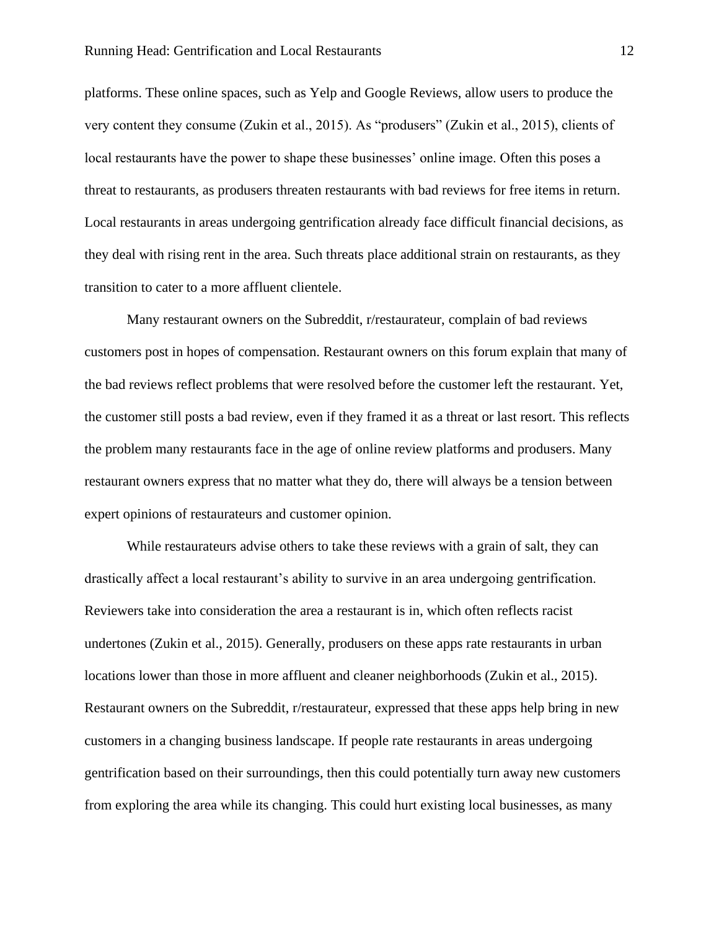platforms. These online spaces, such as Yelp and Google Reviews, allow users to produce the very content they consume (Zukin et al., 2015). As "produsers" (Zukin et al., 2015), clients of local restaurants have the power to shape these businesses' online image. Often this poses a threat to restaurants, as produsers threaten restaurants with bad reviews for free items in return. Local restaurants in areas undergoing gentrification already face difficult financial decisions, as they deal with rising rent in the area. Such threats place additional strain on restaurants, as they transition to cater to a more affluent clientele.

Many restaurant owners on the Subreddit, r/restaurateur, complain of bad reviews customers post in hopes of compensation. Restaurant owners on this forum explain that many of the bad reviews reflect problems that were resolved before the customer left the restaurant. Yet, the customer still posts a bad review, even if they framed it as a threat or last resort. This reflects the problem many restaurants face in the age of online review platforms and produsers. Many restaurant owners express that no matter what they do, there will always be a tension between expert opinions of restaurateurs and customer opinion.

While restaurateurs advise others to take these reviews with a grain of salt, they can drastically affect a local restaurant's ability to survive in an area undergoing gentrification. Reviewers take into consideration the area a restaurant is in, which often reflects racist undertones (Zukin et al., 2015). Generally, produsers on these apps rate restaurants in urban locations lower than those in more affluent and cleaner neighborhoods (Zukin et al., 2015). Restaurant owners on the Subreddit, r/restaurateur, expressed that these apps help bring in new customers in a changing business landscape. If people rate restaurants in areas undergoing gentrification based on their surroundings, then this could potentially turn away new customers from exploring the area while its changing. This could hurt existing local businesses, as many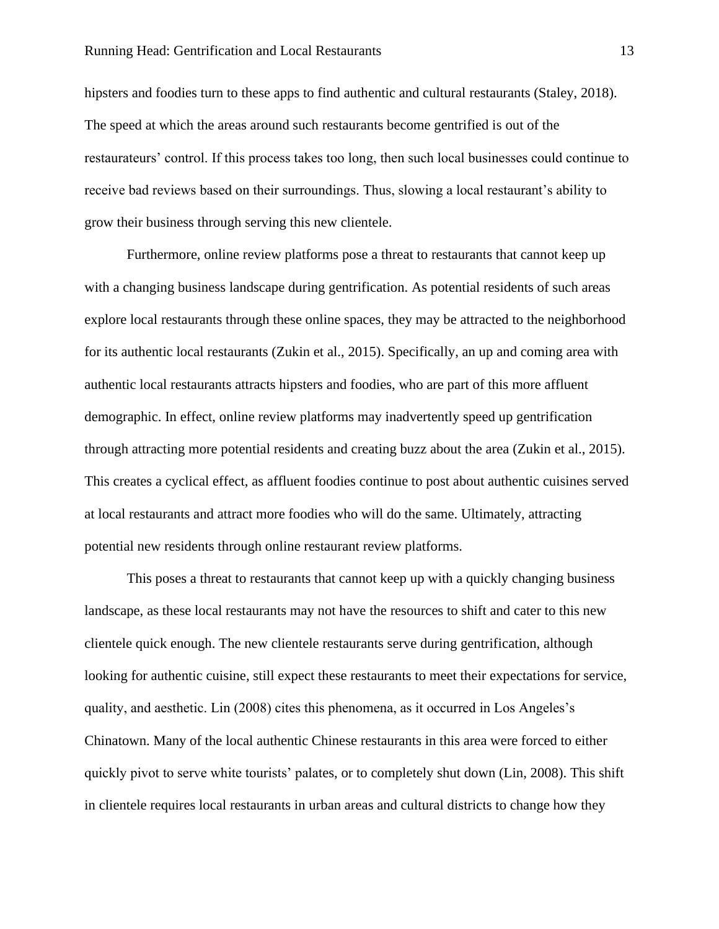hipsters and foodies turn to these apps to find authentic and cultural restaurants (Staley, 2018). The speed at which the areas around such restaurants become gentrified is out of the restaurateurs' control. If this process takes too long, then such local businesses could continue to receive bad reviews based on their surroundings. Thus, slowing a local restaurant's ability to grow their business through serving this new clientele.

Furthermore, online review platforms pose a threat to restaurants that cannot keep up with a changing business landscape during gentrification. As potential residents of such areas explore local restaurants through these online spaces, they may be attracted to the neighborhood for its authentic local restaurants (Zukin et al., 2015). Specifically, an up and coming area with authentic local restaurants attracts hipsters and foodies, who are part of this more affluent demographic. In effect, online review platforms may inadvertently speed up gentrification through attracting more potential residents and creating buzz about the area (Zukin et al., 2015). This creates a cyclical effect, as affluent foodies continue to post about authentic cuisines served at local restaurants and attract more foodies who will do the same. Ultimately, attracting potential new residents through online restaurant review platforms.

This poses a threat to restaurants that cannot keep up with a quickly changing business landscape, as these local restaurants may not have the resources to shift and cater to this new clientele quick enough. The new clientele restaurants serve during gentrification, although looking for authentic cuisine, still expect these restaurants to meet their expectations for service, quality, and aesthetic. Lin (2008) cites this phenomena, as it occurred in Los Angeles's Chinatown. Many of the local authentic Chinese restaurants in this area were forced to either quickly pivot to serve white tourists' palates, or to completely shut down (Lin, 2008). This shift in clientele requires local restaurants in urban areas and cultural districts to change how they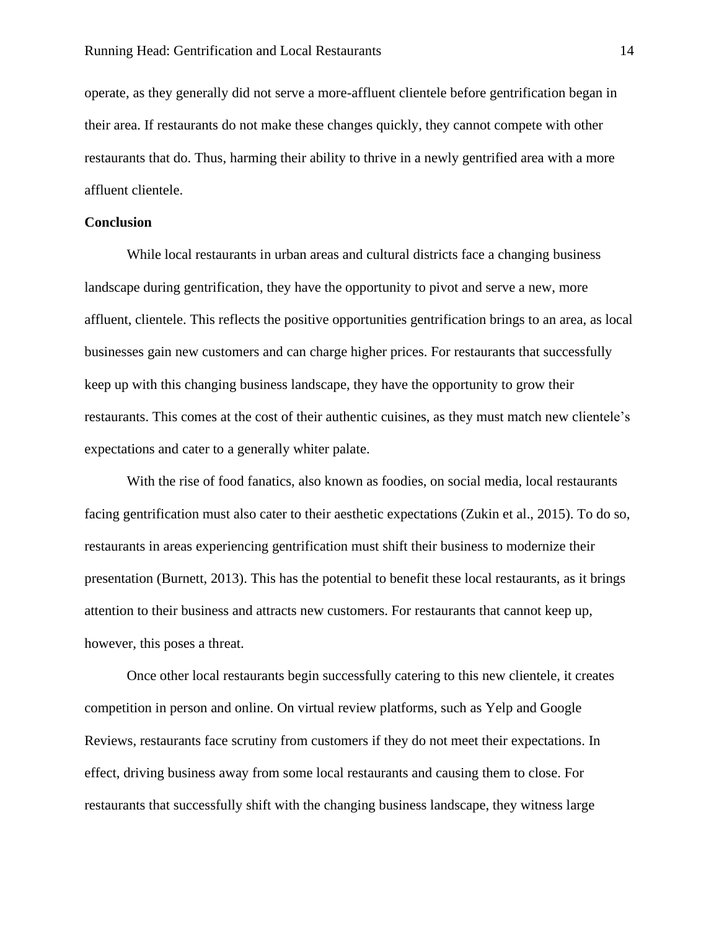operate, as they generally did not serve a more-affluent clientele before gentrification began in their area. If restaurants do not make these changes quickly, they cannot compete with other restaurants that do. Thus, harming their ability to thrive in a newly gentrified area with a more affluent clientele.

# **Conclusion**

While local restaurants in urban areas and cultural districts face a changing business landscape during gentrification, they have the opportunity to pivot and serve a new, more affluent, clientele. This reflects the positive opportunities gentrification brings to an area, as local businesses gain new customers and can charge higher prices. For restaurants that successfully keep up with this changing business landscape, they have the opportunity to grow their restaurants. This comes at the cost of their authentic cuisines, as they must match new clientele's expectations and cater to a generally whiter palate.

With the rise of food fanatics, also known as foodies, on social media, local restaurants facing gentrification must also cater to their aesthetic expectations (Zukin et al., 2015). To do so, restaurants in areas experiencing gentrification must shift their business to modernize their presentation (Burnett, 2013). This has the potential to benefit these local restaurants, as it brings attention to their business and attracts new customers. For restaurants that cannot keep up, however, this poses a threat.

Once other local restaurants begin successfully catering to this new clientele, it creates competition in person and online. On virtual review platforms, such as Yelp and Google Reviews, restaurants face scrutiny from customers if they do not meet their expectations. In effect, driving business away from some local restaurants and causing them to close. For restaurants that successfully shift with the changing business landscape, they witness large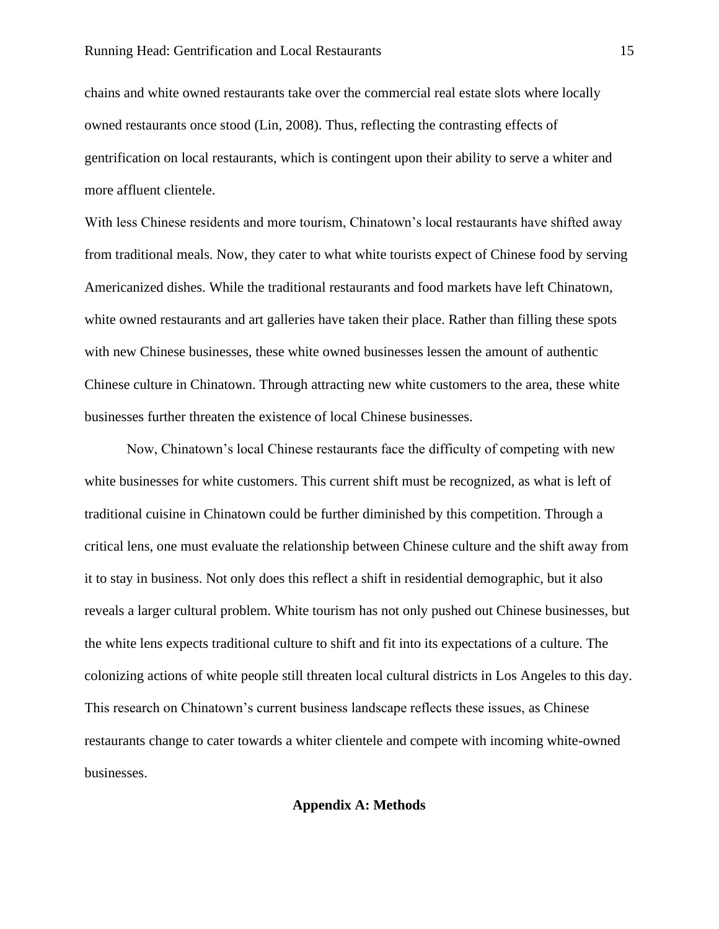chains and white owned restaurants take over the commercial real estate slots where locally owned restaurants once stood (Lin, 2008). Thus, reflecting the contrasting effects of gentrification on local restaurants, which is contingent upon their ability to serve a whiter and more affluent clientele.

With less Chinese residents and more tourism, Chinatown's local restaurants have shifted away from traditional meals. Now, they cater to what white tourists expect of Chinese food by serving Americanized dishes. While the traditional restaurants and food markets have left Chinatown, white owned restaurants and art galleries have taken their place. Rather than filling these spots with new Chinese businesses, these white owned businesses lessen the amount of authentic Chinese culture in Chinatown. Through attracting new white customers to the area, these white businesses further threaten the existence of local Chinese businesses.

Now, Chinatown's local Chinese restaurants face the difficulty of competing with new white businesses for white customers. This current shift must be recognized, as what is left of traditional cuisine in Chinatown could be further diminished by this competition. Through a critical lens, one must evaluate the relationship between Chinese culture and the shift away from it to stay in business. Not only does this reflect a shift in residential demographic, but it also reveals a larger cultural problem. White tourism has not only pushed out Chinese businesses, but the white lens expects traditional culture to shift and fit into its expectations of a culture. The colonizing actions of white people still threaten local cultural districts in Los Angeles to this day. This research on Chinatown's current business landscape reflects these issues, as Chinese restaurants change to cater towards a whiter clientele and compete with incoming white-owned businesses.

**Appendix A: Methods**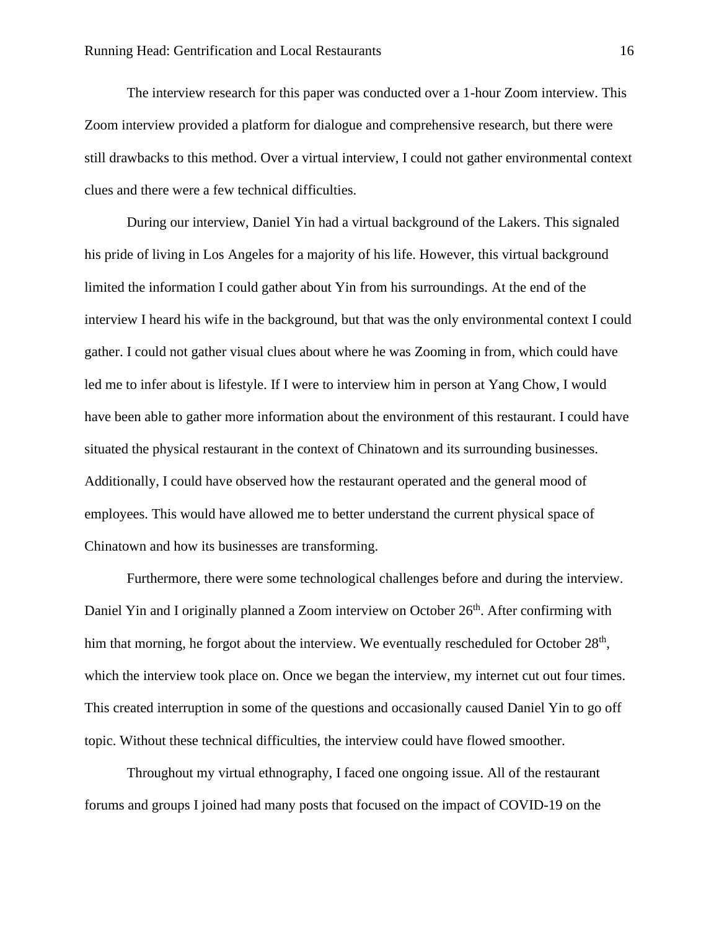The interview research for this paper was conducted over a 1-hour Zoom interview. This Zoom interview provided a platform for dialogue and comprehensive research, but there were still drawbacks to this method. Over a virtual interview, I could not gather environmental context clues and there were a few technical difficulties.

During our interview, Daniel Yin had a virtual background of the Lakers. This signaled his pride of living in Los Angeles for a majority of his life. However, this virtual background limited the information I could gather about Yin from his surroundings. At the end of the interview I heard his wife in the background, but that was the only environmental context I could gather. I could not gather visual clues about where he was Zooming in from, which could have led me to infer about is lifestyle. If I were to interview him in person at Yang Chow, I would have been able to gather more information about the environment of this restaurant. I could have situated the physical restaurant in the context of Chinatown and its surrounding businesses. Additionally, I could have observed how the restaurant operated and the general mood of employees. This would have allowed me to better understand the current physical space of Chinatown and how its businesses are transforming.

Furthermore, there were some technological challenges before and during the interview. Daniel Yin and I originally planned a Zoom interview on October  $26<sup>th</sup>$ . After confirming with him that morning, he forgot about the interview. We eventually rescheduled for October 28<sup>th</sup>, which the interview took place on. Once we began the interview, my internet cut out four times. This created interruption in some of the questions and occasionally caused Daniel Yin to go off topic. Without these technical difficulties, the interview could have flowed smoother.

Throughout my virtual ethnography, I faced one ongoing issue. All of the restaurant forums and groups I joined had many posts that focused on the impact of COVID-19 on the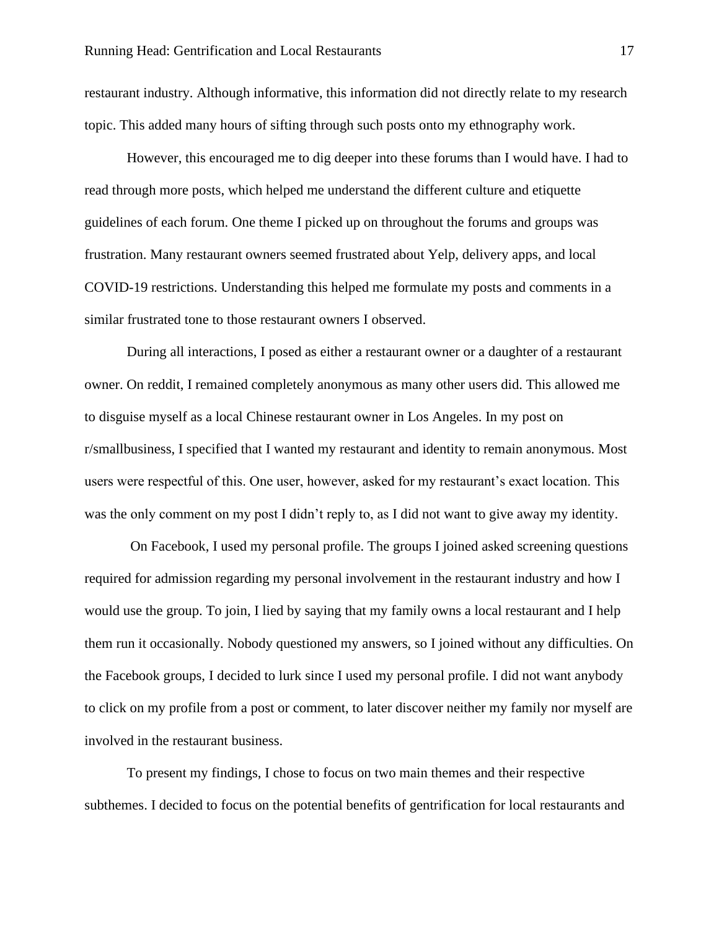restaurant industry. Although informative, this information did not directly relate to my research topic. This added many hours of sifting through such posts onto my ethnography work.

However, this encouraged me to dig deeper into these forums than I would have. I had to read through more posts, which helped me understand the different culture and etiquette guidelines of each forum. One theme I picked up on throughout the forums and groups was frustration. Many restaurant owners seemed frustrated about Yelp, delivery apps, and local COVID-19 restrictions. Understanding this helped me formulate my posts and comments in a similar frustrated tone to those restaurant owners I observed.

During all interactions, I posed as either a restaurant owner or a daughter of a restaurant owner. On reddit, I remained completely anonymous as many other users did. This allowed me to disguise myself as a local Chinese restaurant owner in Los Angeles. In my post on r/smallbusiness, I specified that I wanted my restaurant and identity to remain anonymous. Most users were respectful of this. One user, however, asked for my restaurant's exact location. This was the only comment on my post I didn't reply to, as I did not want to give away my identity.

On Facebook, I used my personal profile. The groups I joined asked screening questions required for admission regarding my personal involvement in the restaurant industry and how I would use the group. To join, I lied by saying that my family owns a local restaurant and I help them run it occasionally. Nobody questioned my answers, so I joined without any difficulties. On the Facebook groups, I decided to lurk since I used my personal profile. I did not want anybody to click on my profile from a post or comment, to later discover neither my family nor myself are involved in the restaurant business.

To present my findings, I chose to focus on two main themes and their respective subthemes. I decided to focus on the potential benefits of gentrification for local restaurants and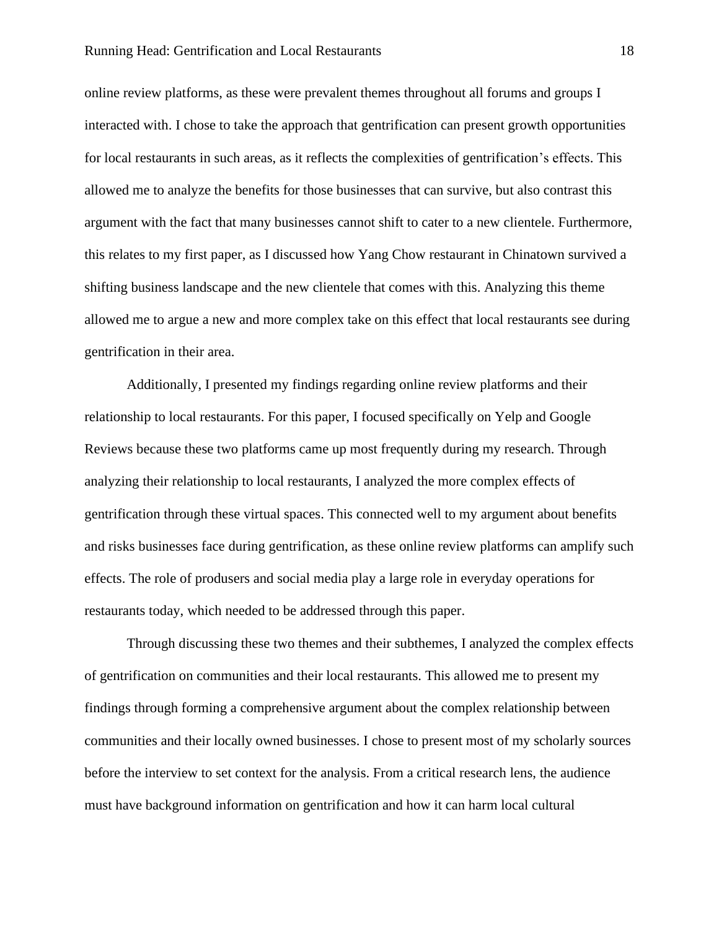#### Running Head: Gentrification and Local Restaurants 18

online review platforms, as these were prevalent themes throughout all forums and groups I interacted with. I chose to take the approach that gentrification can present growth opportunities for local restaurants in such areas, as it reflects the complexities of gentrification's effects. This allowed me to analyze the benefits for those businesses that can survive, but also contrast this argument with the fact that many businesses cannot shift to cater to a new clientele. Furthermore, this relates to my first paper, as I discussed how Yang Chow restaurant in Chinatown survived a shifting business landscape and the new clientele that comes with this. Analyzing this theme allowed me to argue a new and more complex take on this effect that local restaurants see during gentrification in their area.

Additionally, I presented my findings regarding online review platforms and their relationship to local restaurants. For this paper, I focused specifically on Yelp and Google Reviews because these two platforms came up most frequently during my research. Through analyzing their relationship to local restaurants, I analyzed the more complex effects of gentrification through these virtual spaces. This connected well to my argument about benefits and risks businesses face during gentrification, as these online review platforms can amplify such effects. The role of produsers and social media play a large role in everyday operations for restaurants today, which needed to be addressed through this paper.

Through discussing these two themes and their subthemes, I analyzed the complex effects of gentrification on communities and their local restaurants. This allowed me to present my findings through forming a comprehensive argument about the complex relationship between communities and their locally owned businesses. I chose to present most of my scholarly sources before the interview to set context for the analysis. From a critical research lens, the audience must have background information on gentrification and how it can harm local cultural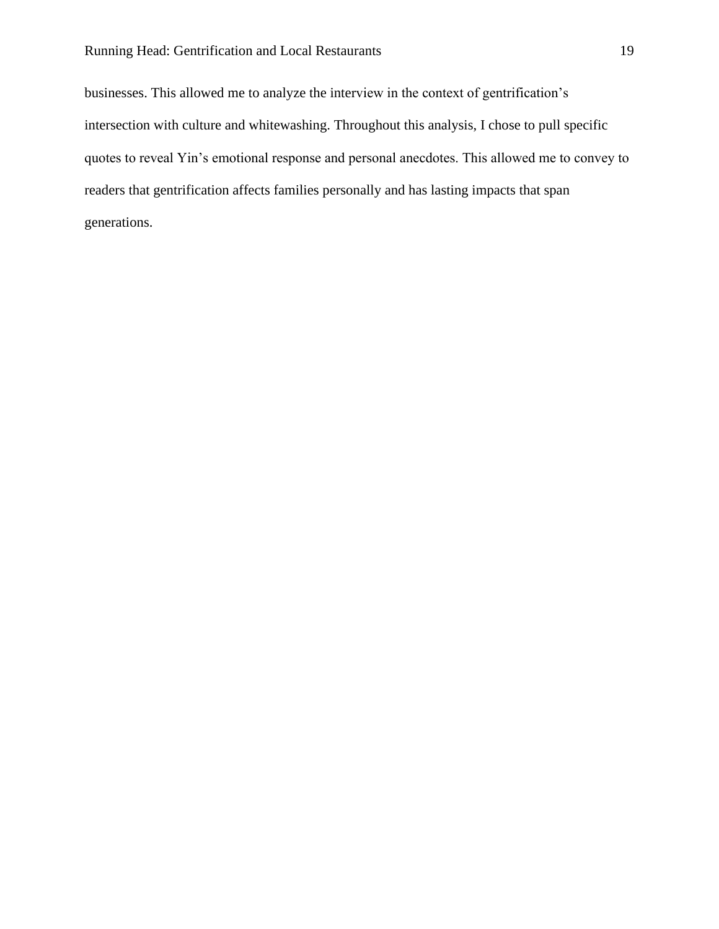businesses. This allowed me to analyze the interview in the context of gentrification's intersection with culture and whitewashing. Throughout this analysis, I chose to pull specific quotes to reveal Yin's emotional response and personal anecdotes. This allowed me to convey to readers that gentrification affects families personally and has lasting impacts that span generations.